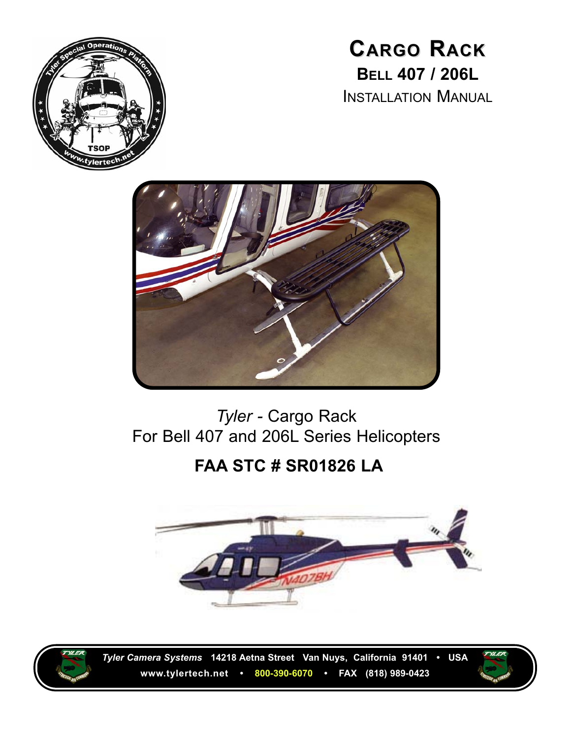

**CARGO RACK BELL 407 / 206L** INSTALLATION MANUAL



## *Tyler -* Cargo Rack For Bell 407 and 206L Series Helicopters

## **FAA STC # SR01826 LA**





*Tyler Camera Systems* **14218 Aetna Street Van Nuys, California 91401 • USA www.tylertech.net • 800-390-6070 • FAX (818) 989-0423**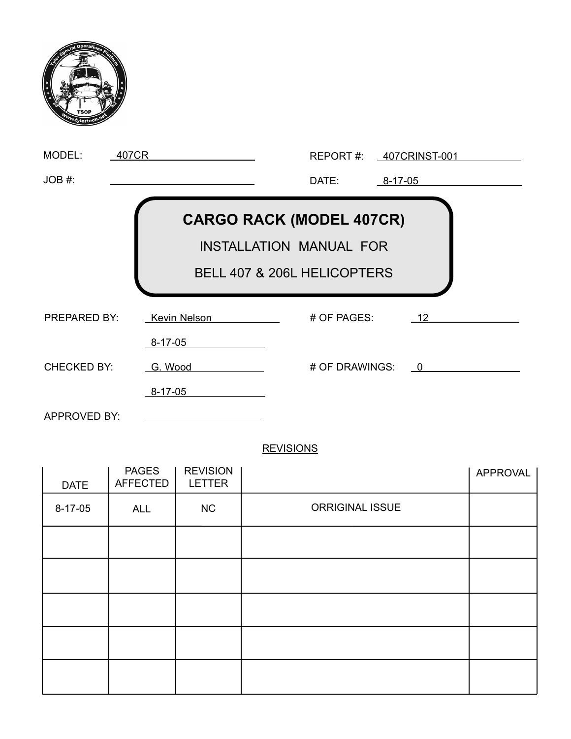| MODEL:<br>407CR                                                                                  |                                      |                | REPORT #: 407CRINST-001 |  |
|--------------------------------------------------------------------------------------------------|--------------------------------------|----------------|-------------------------|--|
| JOB #:                                                                                           |                                      | DATE:          | $8 - 17 - 05$           |  |
| <b>CARGO RACK (MODEL 407CR)</b><br><b>INSTALLATION MANUAL FOR</b><br>BELL 407 & 206L HELICOPTERS |                                      |                |                         |  |
| <b>PREPARED BY:</b>                                                                              | <b>Kevin Nelson</b><br>$8 - 17 - 05$ | # OF PAGES:    | 12                      |  |
| <b>CHECKED BY:</b>                                                                               | G. Wood                              | # OF DRAWINGS: | $\overline{0}$          |  |
|                                                                                                  | $8 - 17 - 05$                        |                |                         |  |
| APPROVED BY:                                                                                     |                                      |                |                         |  |

#### **REVISIONS**

| <b>PAGES</b><br><b>AFFECTED</b> | <b>REVISION</b><br><b>LETTER</b> |                        | APPROVAL |
|---------------------------------|----------------------------------|------------------------|----------|
| <b>ALL</b>                      | NC                               | <b>ORRIGINAL ISSUE</b> |          |
|                                 |                                  |                        |          |
|                                 |                                  |                        |          |
|                                 |                                  |                        |          |
|                                 |                                  |                        |          |
|                                 |                                  |                        |          |
|                                 |                                  |                        |          |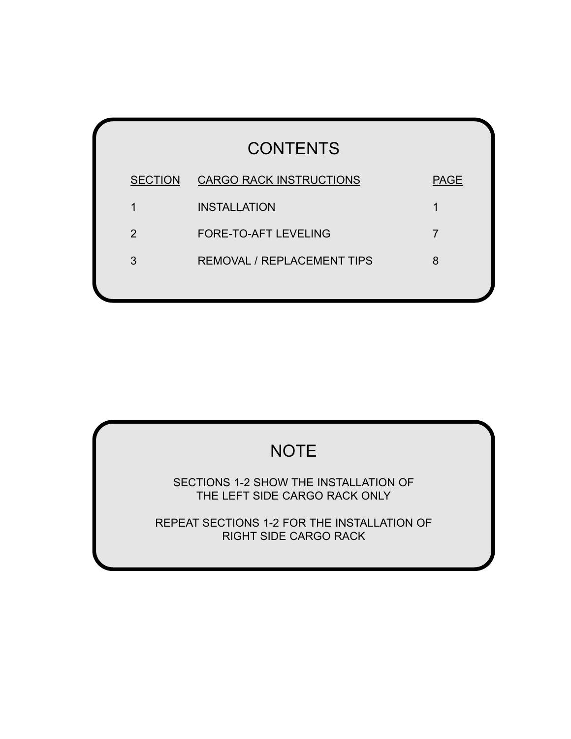| <b>CONTENTS</b> |                                   |             |  |  |  |  |
|-----------------|-----------------------------------|-------------|--|--|--|--|
| <b>SECTION</b>  | <b>CARGO RACK INSTRUCTIONS</b>    | <b>PAGE</b> |  |  |  |  |
| 1               | <b>INSTALLATION</b>               | 1           |  |  |  |  |
| 2               | <b>FORE-TO-AFT LEVELING</b>       | 7           |  |  |  |  |
| 3               | <b>REMOVAL / REPLACEMENT TIPS</b> | 8           |  |  |  |  |
|                 |                                   |             |  |  |  |  |

## **NOTE**

SECTIONS 1-2 SHOW THE INSTALLATION OF THE LEFT SIDE CARGO RACK ONLY

REPEAT SECTIONS 1-2 FOR THE INSTALLATION OF RIGHT SIDE CARGO RACK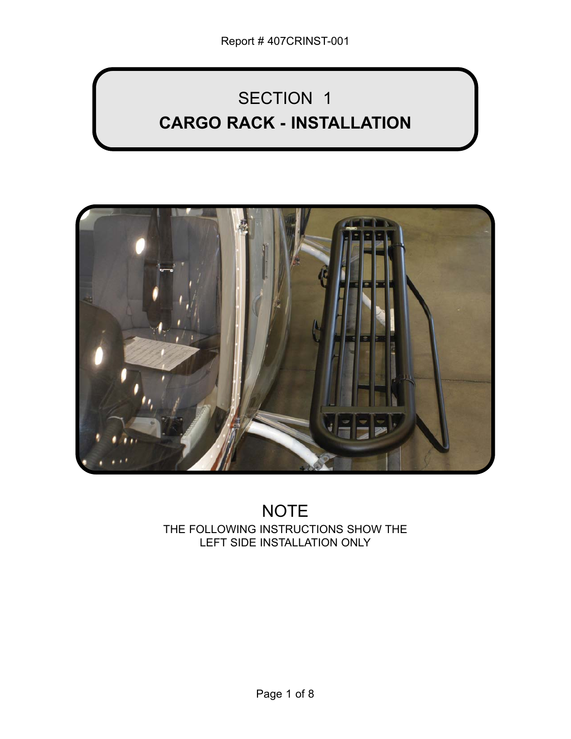# SECTION 1 **CARGO RACK - INSTALLATION**



## NOTE THE FOLLOWING INSTRUCTIONS SHOW THE LEFT SIDE INSTALLATION ONLY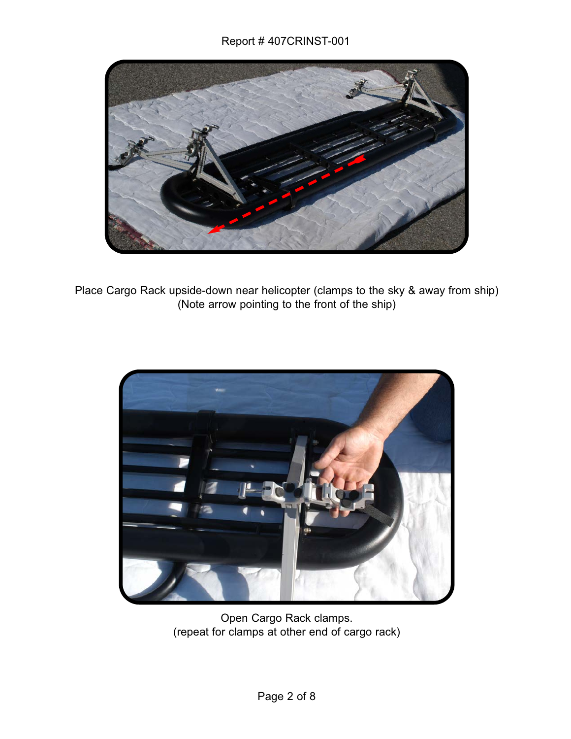

Place Cargo Rack upside-down near helicopter (clamps to the sky & away from ship) (Note arrow pointing to the front of the ship)



Open Cargo Rack clamps. (repeat for clamps at other end of cargo rack)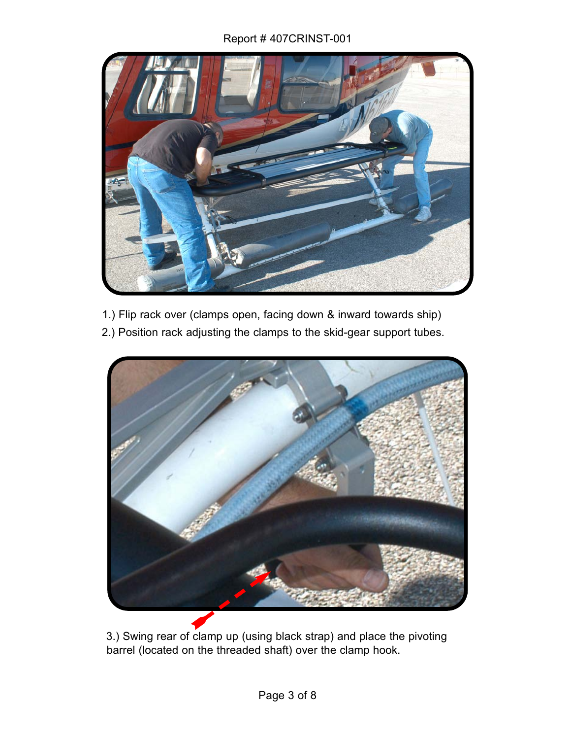#### Report # 407CRINST-001



- 1.) Flip rack over (clamps open, facing down & inward towards ship)
- 2.) Position rack adjusting the clamps to the skid-gear support tubes.



3.) Swing rear of clamp up (using black strap) and place the pivoting barrel (located on the threaded shaft) over the clamp hook.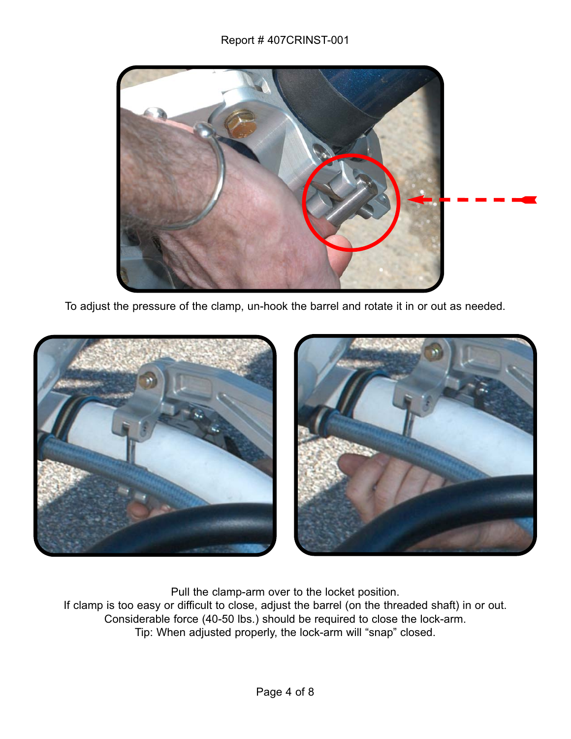#### Report # 407CRINST-001



To adjust the pressure of the clamp, un-hook the barrel and rotate it in or out as needed.



Pull the clamp-arm over to the locket position. If clamp is too easy or difficult to close, adjust the barrel (on the threaded shaft) in or out. Considerable force (40-50 lbs.) should be required to close the lock-arm. Tip: When adjusted properly, the lock-arm will "snap" closed.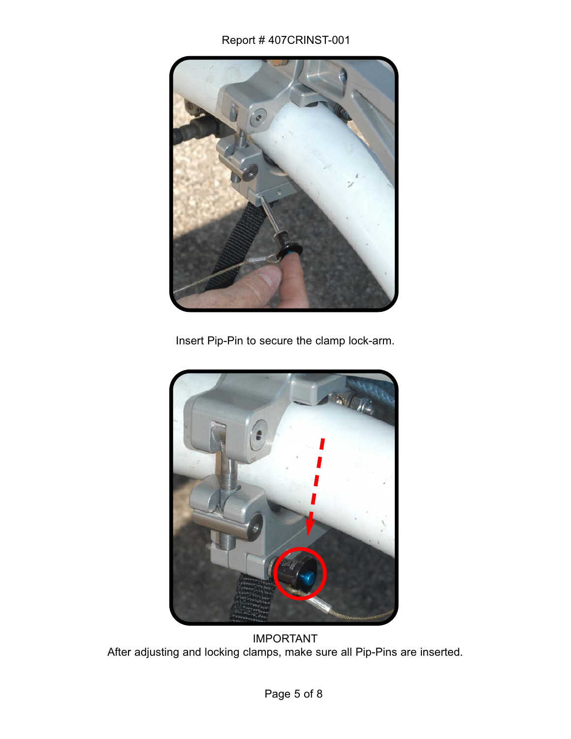#### Report # 407CRINST-001



Insert Pip-Pin to secure the clamp lock-arm.



IMPORTANT After adjusting and locking clamps, make sure all Pip-Pins are inserted.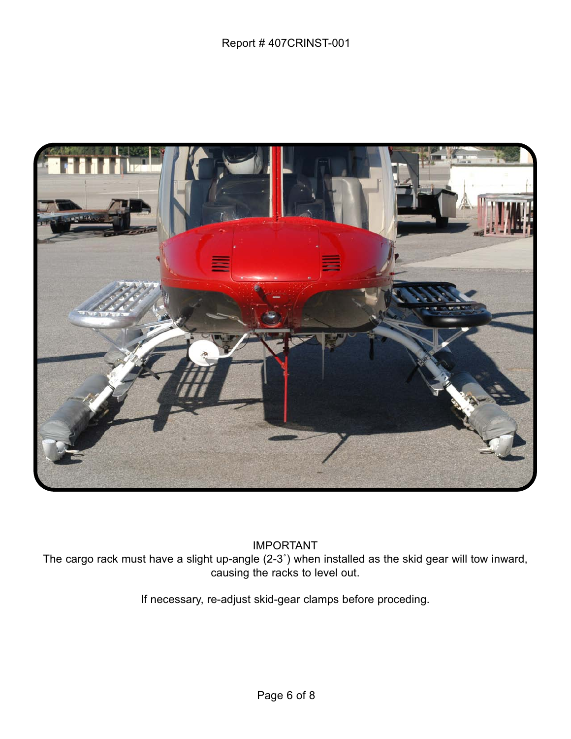

IMPORTANT

The cargo rack must have a slight up-angle (2-3˚) when installed as the skid gear will tow inward, causing the racks to level out.

If necessary, re-adjust skid-gear clamps before proceding.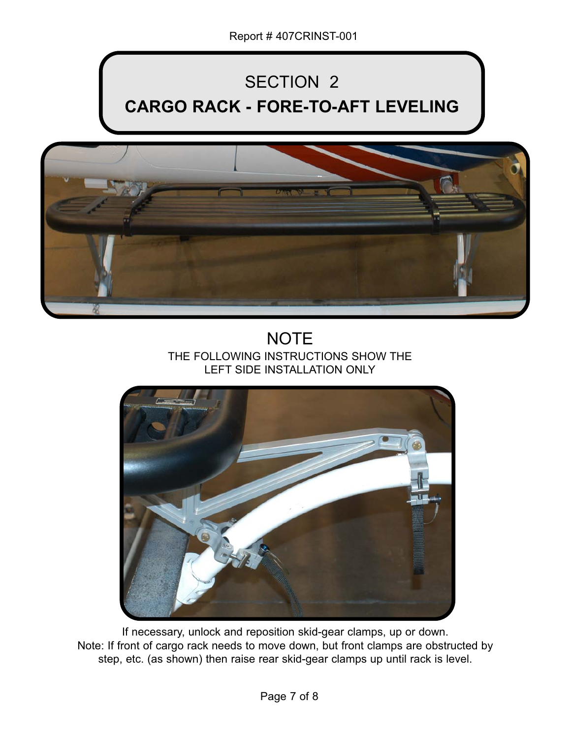# SECTION 2 **CARGO RACK - FORE-TO-AFT LEVELING**



## **NOTE** THE FOLLOWING INSTRUCTIONS SHOW THE LEFT SIDE INSTALLATION ONLY



If necessary, unlock and reposition skid-gear clamps, up or down. Note: If front of cargo rack needs to move down, but front clamps are obstructed by step, etc. (as shown) then raise rear skid-gear clamps up until rack is level.